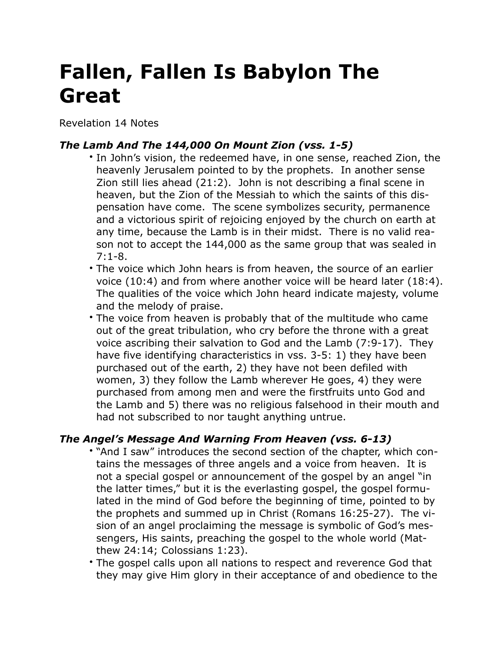## **Fallen, Fallen Is Babylon The Great**

Revelation 14 Notes

## *The Lamb And The 144,000 On Mount Zion (vss. 1-5)*

- In John's vision, the redeemed have, in one sense, reached Zion, the heavenly Jerusalem pointed to by the prophets. In another sense Zion still lies ahead (21:2). John is not describing a final scene in heaven, but the Zion of the Messiah to which the saints of this dispensation have come. The scene symbolizes security, permanence and a victorious spirit of rejoicing enjoyed by the church on earth at any time, because the Lamb is in their midst. There is no valid reason not to accept the 144,000 as the same group that was sealed in 7:1-8.
- The voice which John hears is from heaven, the source of an earlier voice (10:4) and from where another voice will be heard later (18:4). The qualities of the voice which John heard indicate majesty, volume and the melody of praise.
- The voice from heaven is probably that of the multitude who came out of the great tribulation, who cry before the throne with a great voice ascribing their salvation to God and the Lamb (7:9-17). They have five identifying characteristics in vss. 3-5: 1) they have been purchased out of the earth, 2) they have not been defiled with women, 3) they follow the Lamb wherever He goes, 4) they were purchased from among men and were the firstfruits unto God and the Lamb and 5) there was no religious falsehood in their mouth and had not subscribed to nor taught anything untrue.

## *The Angel's Message And Warning From Heaven (vss. 6-13)*

- "And I saw" introduces the second section of the chapter, which contains the messages of three angels and a voice from heaven. It is not a special gospel or announcement of the gospel by an angel "in the latter times," but it is the everlasting gospel, the gospel formulated in the mind of God before the beginning of time, pointed to by the prophets and summed up in Christ (Romans 16:25-27). The vision of an angel proclaiming the message is symbolic of God's messengers, His saints, preaching the gospel to the whole world (Matthew 24:14; Colossians 1:23).
- The gospel calls upon all nations to respect and reverence God that they may give Him glory in their acceptance of and obedience to the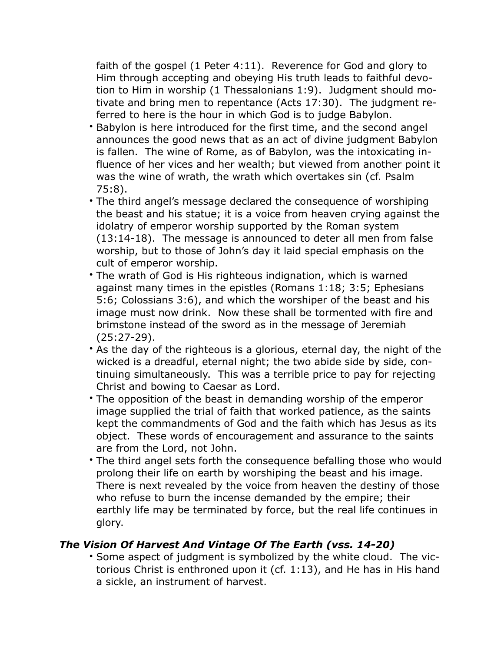faith of the gospel (1 Peter 4:11). Reverence for God and glory to Him through accepting and obeying His truth leads to faithful devotion to Him in worship (1 Thessalonians 1:9). Judgment should motivate and bring men to repentance (Acts 17:30). The judgment referred to here is the hour in which God is to judge Babylon.

- Babylon is here introduced for the first time, and the second angel announces the good news that as an act of divine judgment Babylon is fallen. The wine of Rome, as of Babylon, was the intoxicating influence of her vices and her wealth; but viewed from another point it was the wine of wrath, the wrath which overtakes sin (cf. Psalm 75:8).
- The third angel's message declared the consequence of worshiping the beast and his statue; it is a voice from heaven crying against the idolatry of emperor worship supported by the Roman system (13:14-18). The message is announced to deter all men from false worship, but to those of John's day it laid special emphasis on the cult of emperor worship.
- The wrath of God is His righteous indignation, which is warned against many times in the epistles (Romans 1:18; 3:5; Ephesians 5:6; Colossians 3:6), and which the worshiper of the beast and his image must now drink. Now these shall be tormented with fire and brimstone instead of the sword as in the message of Jeremiah (25:27-29).
- As the day of the righteous is a glorious, eternal day, the night of the wicked is a dreadful, eternal night; the two abide side by side, continuing simultaneously. This was a terrible price to pay for rejecting Christ and bowing to Caesar as Lord.
- The opposition of the beast in demanding worship of the emperor image supplied the trial of faith that worked patience, as the saints kept the commandments of God and the faith which has Jesus as its object. These words of encouragement and assurance to the saints are from the Lord, not John.
- The third angel sets forth the consequence befalling those who would prolong their life on earth by worshiping the beast and his image. There is next revealed by the voice from heaven the destiny of those who refuse to burn the incense demanded by the empire; their earthly life may be terminated by force, but the real life continues in glory.

## *The Vision Of Harvest And Vintage Of The Earth (vss. 14-20)*

• Some aspect of judgment is symbolized by the white cloud. The victorious Christ is enthroned upon it (cf. 1:13), and He has in His hand a sickle, an instrument of harvest.